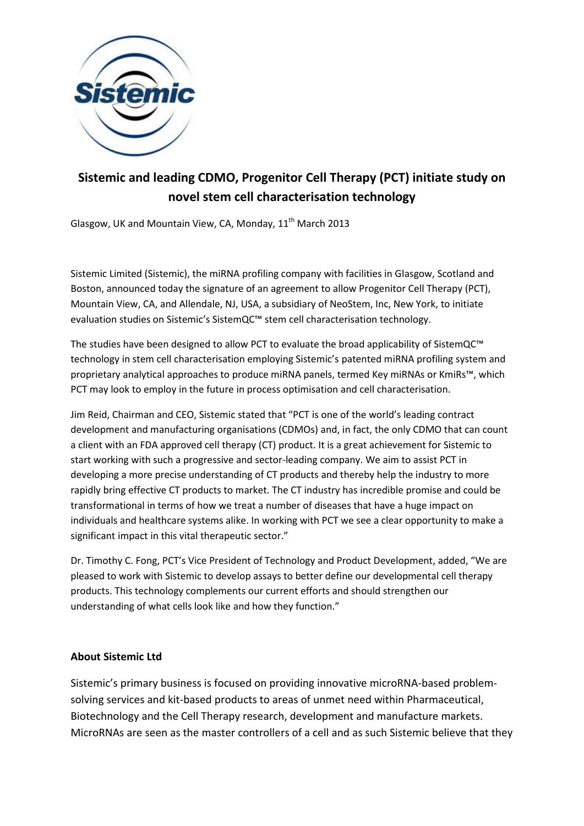

## **Sistemic and leading CDMO, Progenitor Cell Therapy (PCT) initiate study on novel stem cell characterisation technology**

Glasgow, UK and Mountain View, CA, Monday, 11<sup>th</sup> March 2013

Sistemic Limited (Sistemic), the miRNA profiling company with facilities in Glasgow, Scotland and Boston, announced today the signature of an agreement to allow Progenitor Cell Therapy (PCT), Mountain View, CA, and Allendale, NJ, USA, a subsidiary of NeoStem, Inc, New York, to initiate evaluation studies on Sistemic's SistemQC™ stem cell characterisation technology.

The studies have been designed to allow PCT to evaluate the broad applicability of SistemQC™ technology in stem cell characterisation employing Sistemic's patented miRNA profiling system and proprietary analytical approaches to produce miRNA panels, termed Key miRNAs or KmiRs™, which PCT may look to employ in the future in process optimisation and cell characterisation.

Jim Reid, Chairman and CEO, Sistemic stated that "PCT is one of the world's leading contract development and manufacturing organisations (CDMOs) and, in fact, the only CDMO that can count a client with an FDA approved cell therapy (CT) product. It is a great achievement for Sistemic to start working with such a progressive and sector-leading company. We aim to assist PCT in developing a more precise understanding of CT products and thereby help the industry to more rapidly bring effective CT products to market. The CT industry has incredible promise and could be transformational in terms of how we treat a number of diseases that have a huge impact on individuals and healthcare systems alike. In working with PCT we see a clear opportunity to make a significant impact in this vital therapeutic sector."

Dr. Timothy C. Fong, PCT's Vice President of Technology and Product Development, added, "We are pleased to work with Sistemic to develop assays to better define our developmental cell therapy products. This technology complements our current efforts and should strengthen our understanding of what cells look like and how they function."

## **About Sistemic Ltd**

Sistemic's primary business is focused on providing innovative microRNA-based problemsolving services and kit-based products to areas of unmet need within Pharmaceutical, Biotechnology and the Cell Therapy research, development and manufacture markets. MicroRNAs are seen as the master controllers of a cell and as such Sistemic believe that they